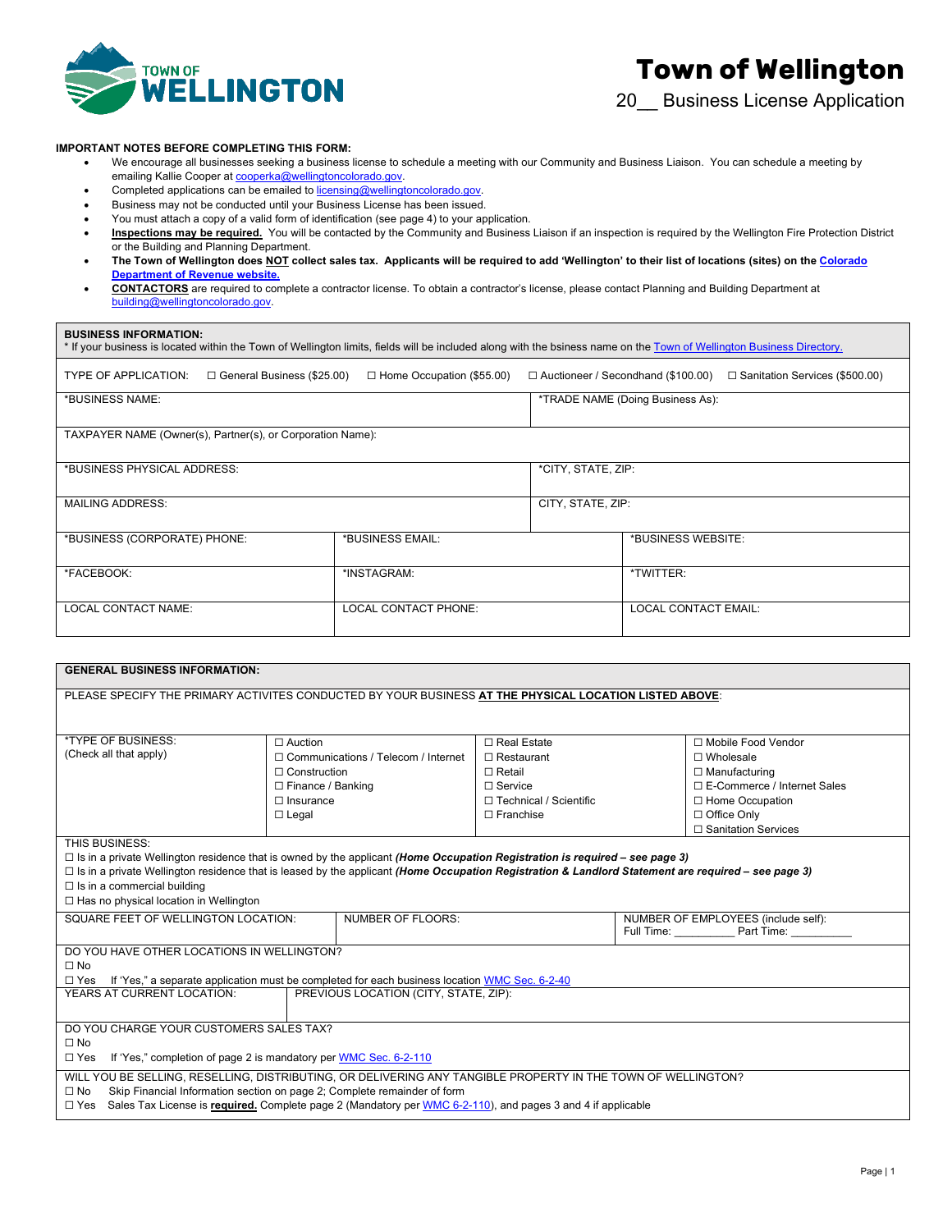

20\_\_ Business License Application

#### **IMPORTANT NOTES BEFORE COMPLETING THIS FORM:**

- We encourage all businesses seeking a business license to schedule a meeting with our Community and Business Liaison. You can schedule a meeting by emailing Kallie Cooper at <u>cooperka@wellingtoncolorado.gov</u>.
- Completed applications can be emailed to licensing@wellingtoncolorado.gov.
- Business may not be conducted until your Business License has been issued.
- You must attach a copy of a valid form of identification (see page 4) to your application.
- **Inspections may be required.** You will be contacted by the Community and Business Liaison if an inspection is required by the Wellington Fire Protection District or the Building and Planning Department.
- **The Town of Wellington does NOT collect sales tax. Applicants will be required to add 'Wellington' to their list of locations (sites) on th[e Colorado](https://tax.colorado.gov/add-locations-sites-to-your-sales-tax-account)  [Department of Revenue website.](https://tax.colorado.gov/add-locations-sites-to-your-sales-tax-account)**
- **CONTACTORS** are required to complete a contractor license. To obtain a contractor's license, please contact Planning and Building Department at [building@wellingtoncolorado.gov.](mailto:building@wellingtoncolorado.gov)

### **BUSINESS INFORMATION:**

| * If your business is located within the Town of Wellington limits, fields will be included along with the bsiness name on the Town of Wellington Business Directory. |                                  |                             |                                                                          |  |  |
|-----------------------------------------------------------------------------------------------------------------------------------------------------------------------|----------------------------------|-----------------------------|--------------------------------------------------------------------------|--|--|
| TYPE OF APPLICATION:<br>$\Box$ General Business (\$25.00)                                                                                                             | $\Box$ Home Occupation (\$55.00) |                             | □ Auctioneer / Secondhand (\$100.00)<br>□ Sanitation Services (\$500.00) |  |  |
| *BUSINESS NAME:                                                                                                                                                       |                                  |                             | *TRADE NAME (Doing Business As):                                         |  |  |
| TAXPAYER NAME (Owner(s), Partner(s), or Corporation Name):                                                                                                            |                                  |                             |                                                                          |  |  |
| *BUSINESS PHYSICAL ADDRESS:                                                                                                                                           |                                  |                             | *CITY, STATE, ZIP:                                                       |  |  |
| <b>MAILING ADDRESS:</b>                                                                                                                                               |                                  |                             | CITY, STATE, ZIP:                                                        |  |  |
| *BUSINESS (CORPORATE) PHONE:                                                                                                                                          | *BUSINESS EMAIL:                 |                             | *BUSINESS WEBSITE:                                                       |  |  |
| *FACEBOOK:                                                                                                                                                            | *INSTAGRAM:                      |                             | *TWITTER:                                                                |  |  |
| <b>LOCAL CONTACT NAME:</b>                                                                                                                                            | <b>LOCAL CONTACT PHONE:</b>      | <b>LOCAL CONTACT EMAIL:</b> |                                                                          |  |  |

| <b>GENERAL BUSINESS INFORMATION:</b>                                                                                                                      |                                                                                                        |                                            |                          |                    |                               |
|-----------------------------------------------------------------------------------------------------------------------------------------------------------|--------------------------------------------------------------------------------------------------------|--------------------------------------------|--------------------------|--------------------|-------------------------------|
|                                                                                                                                                           | PLEASE SPECIFY THE PRIMARY ACTIVITES CONDUCTED BY YOUR BUSINESS AT THE PHYSICAL LOCATION LISTED ABOVE: |                                            |                          |                    |                               |
|                                                                                                                                                           |                                                                                                        |                                            |                          |                    |                               |
|                                                                                                                                                           |                                                                                                        |                                            |                          |                    |                               |
| *TYPE OF BUSINESS:                                                                                                                                        | $\Box$ Auction                                                                                         |                                            | □ Real Estate            |                    | □ Mobile Food Vendor          |
| (Check all that apply)                                                                                                                                    |                                                                                                        | $\Box$ Communications / Telecom / Internet | $\Box$ Restaurant        | $\Box$ Wholesale   |                               |
|                                                                                                                                                           | $\Box$ Construction                                                                                    |                                            | $\Box$ Retail            |                    | $\Box$ Manufacturing          |
|                                                                                                                                                           | $\Box$ Finance / Banking                                                                               |                                            | $\Box$ Service           |                    | □ E-Commerce / Internet Sales |
|                                                                                                                                                           | $\Box$ Insurance                                                                                       |                                            | □ Technical / Scientific |                    | □ Home Occupation             |
|                                                                                                                                                           | $\Box$ Legal                                                                                           |                                            | $\Box$ Franchise         | $\Box$ Office Only |                               |
|                                                                                                                                                           |                                                                                                        |                                            |                          |                    | □ Sanitation Services         |
| THIS BUSINESS:                                                                                                                                            |                                                                                                        |                                            |                          |                    |                               |
| $\Box$ Is in a private Wellington residence that is owned by the applicant (Home Occupation Registration is required – see page 3)                        |                                                                                                        |                                            |                          |                    |                               |
| $\Box$ Is in a private Wellington residence that is leased by the applicant (Home Occupation Registration & Landlord Statement are required – see page 3) |                                                                                                        |                                            |                          |                    |                               |
| $\Box$ Is in a commercial building                                                                                                                        |                                                                                                        |                                            |                          |                    |                               |
| □ Has no physical location in Wellington                                                                                                                  |                                                                                                        |                                            |                          |                    |                               |
| SQUARE FEET OF WELLINGTON LOCATION:<br><b>NUMBER OF FLOORS:</b><br>NUMBER OF EMPLOYEES (include self):                                                    |                                                                                                        |                                            |                          |                    |                               |
|                                                                                                                                                           |                                                                                                        |                                            |                          |                    |                               |
| DO YOU HAVE OTHER LOCATIONS IN WELLINGTON?                                                                                                                |                                                                                                        |                                            |                          |                    |                               |
|                                                                                                                                                           |                                                                                                        |                                            |                          |                    |                               |
| $\Box$ No                                                                                                                                                 |                                                                                                        |                                            |                          |                    |                               |
| If 'Yes," a separate application must be completed for each business location WMC Sec. 6-2-40<br>$\Box$ Yes                                               |                                                                                                        |                                            |                          |                    |                               |
| PREVIOUS LOCATION (CITY, STATE, ZIP):<br>YEARS AT CURRENT LOCATION:                                                                                       |                                                                                                        |                                            |                          |                    |                               |
|                                                                                                                                                           |                                                                                                        |                                            |                          |                    |                               |
| DO YOU CHARGE YOUR CUSTOMERS SALES TAX?                                                                                                                   |                                                                                                        |                                            |                          |                    |                               |
| $\Box$ No                                                                                                                                                 |                                                                                                        |                                            |                          |                    |                               |
| If 'Yes," completion of page 2 is mandatory per WMC Sec. 6-2-110<br>$\Box$ Yes                                                                            |                                                                                                        |                                            |                          |                    |                               |
| WILL YOU BE SELLING, RESELLING, DISTRIBUTING, OR DELIVERING ANY TANGIBLE PROPERTY IN THE TOWN OF WELLINGTON?                                              |                                                                                                        |                                            |                          |                    |                               |
| Skip Financial Information section on page 2; Complete remainder of form<br>$\Box$ No                                                                     |                                                                                                        |                                            |                          |                    |                               |
| Sales Tax License is required. Complete page 2 (Mandatory per WMC 6-2-110), and pages 3 and 4 if applicable<br>$\Box$ Yes                                 |                                                                                                        |                                            |                          |                    |                               |
|                                                                                                                                                           |                                                                                                        |                                            |                          |                    |                               |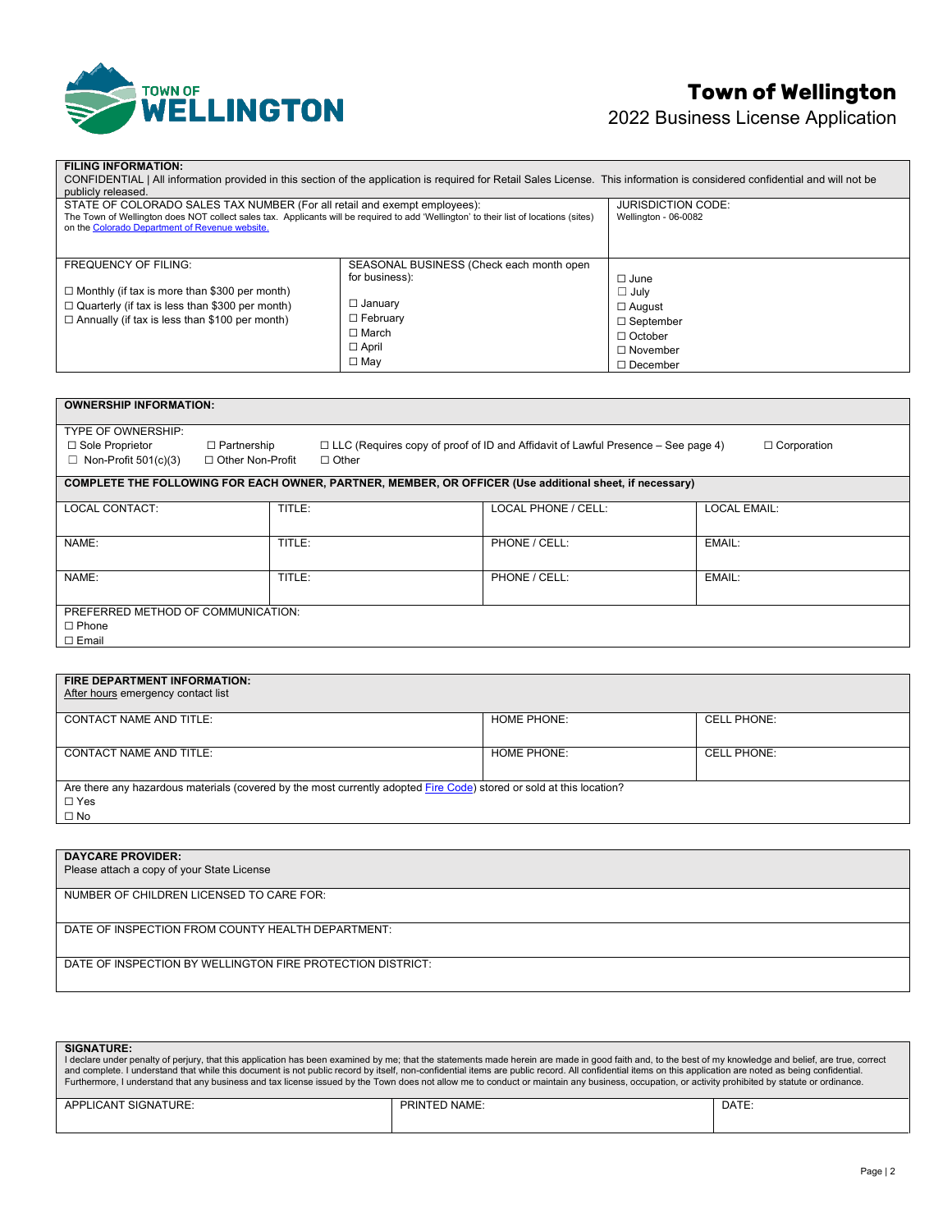

# **Town of Wellington**

2022 Business License Application

| <b>FILING INFORMATION:</b><br>CONFIDENTIAL   All information provided in this section of the application is required for Retail Sales License. This information is considered confidential and will not be<br>publicly released.                                     |                                                                                                                                               |                                                                                                                         |  |  |  |
|----------------------------------------------------------------------------------------------------------------------------------------------------------------------------------------------------------------------------------------------------------------------|-----------------------------------------------------------------------------------------------------------------------------------------------|-------------------------------------------------------------------------------------------------------------------------|--|--|--|
| STATE OF COLORADO SALES TAX NUMBER (For all retail and exempt employees):<br>The Town of Wellington does NOT collect sales tax. Applicants will be required to add 'Wellington' to their list of locations (sites)<br>on the Colorado Department of Revenue website. | <b>JURISDICTION CODE:</b><br>Wellington - 06-0082                                                                                             |                                                                                                                         |  |  |  |
| <b>FREQUENCY OF FILING:</b><br>$\Box$ Monthly (if tax is more than \$300 per month)<br>$\Box$ Quarterly (if tax is less than \$300 per month)<br>$\Box$ Annually (if tax is less than \$100 per month)                                                               | SEASONAL BUSINESS (Check each month open<br>for business):<br>$\Box$ January<br>$\Box$ February<br>$\Box$ March<br>$\Box$ April<br>$\Box$ May | $\Box$ June<br>$\Box$ July<br>$\Box$ August<br>$\Box$ September<br>$\Box$ October<br>$\Box$ November<br>$\Box$ December |  |  |  |

| <b>OWNERSHIP INFORMATION:</b>                    |                                          |              |                                                                                                         |                     |
|--------------------------------------------------|------------------------------------------|--------------|---------------------------------------------------------------------------------------------------------|---------------------|
| TYPE OF OWNERSHIP:                               |                                          |              |                                                                                                         |                     |
| □ Sole Proprietor<br>$\Box$ Non-Profit 501(c)(3) | $\Box$ Partnership<br>□ Other Non-Profit | $\Box$ Other | $\Box$ LLC (Requires copy of proof of ID and Affidavit of Lawful Presence – See page 4)                 | $\Box$ Corporation  |
|                                                  |                                          |              |                                                                                                         |                     |
|                                                  |                                          |              | COMPLETE THE FOLLOWING FOR EACH OWNER, PARTNER, MEMBER, OR OFFICER (Use additional sheet, if necessary) |                     |
| <b>LOCAL CONTACT:</b>                            | TITLE:                                   |              | LOCAL PHONE / CELL:                                                                                     | <b>LOCAL EMAIL:</b> |
|                                                  |                                          |              |                                                                                                         |                     |
| NAME:                                            | TITLE:                                   |              | PHONE / CELL:                                                                                           | EMAIL:              |
|                                                  |                                          |              | PHONE / CELL:                                                                                           |                     |
| NAME:                                            | TITLE:                                   |              |                                                                                                         | EMAIL:              |
| PREFERRED METHOD OF COMMUNICATION:               |                                          |              |                                                                                                         |                     |
| $\Box$ Phone                                     |                                          |              |                                                                                                         |                     |
| $\Box$ Email                                     |                                          |              |                                                                                                         |                     |

| <b>FIRE DEPARTMENT INFORMATION:</b><br>After hours emergency contact list                                            |                    |                    |
|----------------------------------------------------------------------------------------------------------------------|--------------------|--------------------|
| <b>CONTACT NAME AND TITLE:</b>                                                                                       | <b>HOME PHONE:</b> | <b>CELL PHONE:</b> |
| <b>CONTACT NAME AND TITLE:</b>                                                                                       | <b>HOME PHONE:</b> | <b>CELL PHONE:</b> |
| Are there any hazardous materials (covered by the most currently adopted Fire Code) stored or sold at this location? |                    |                    |
| $\Box$ Yes                                                                                                           |                    |                    |
| $\square$ No                                                                                                         |                    |                    |

| <b>DAYCARE PROVIDER:</b>                                   |
|------------------------------------------------------------|
| Please attach a copy of your State License                 |
| NUMBER OF CHILDREN LICENSED TO CARE FOR:                   |
|                                                            |
| DATE OF INSPECTION FROM COUNTY HEALTH DEPARTMENT:          |
| DATE OF INSPECTION BY WELLINGTON FIRE PROTECTION DISTRICT: |

| <b>SIGNATURE:</b><br>I declare under penalty of perjury, that this application has been examined by me; that the statements made herein are made in good faith and, to the best of my knowledge and belief, are true, correct<br>and complete. I understand that while this document is not public record by itself, non-confidential items are public record. All confidential items on this application are noted as being confidential.<br>Furthermore, I understand that any business and tax license issued by the Town does not allow me to conduct or maintain any business, occupation, or activity prohibited by statute or ordinance. |               |       |  |  |
|-------------------------------------------------------------------------------------------------------------------------------------------------------------------------------------------------------------------------------------------------------------------------------------------------------------------------------------------------------------------------------------------------------------------------------------------------------------------------------------------------------------------------------------------------------------------------------------------------------------------------------------------------|---------------|-------|--|--|
| APPLICANT SIGNATURE:                                                                                                                                                                                                                                                                                                                                                                                                                                                                                                                                                                                                                            | PRINTED NAME: | DATE: |  |  |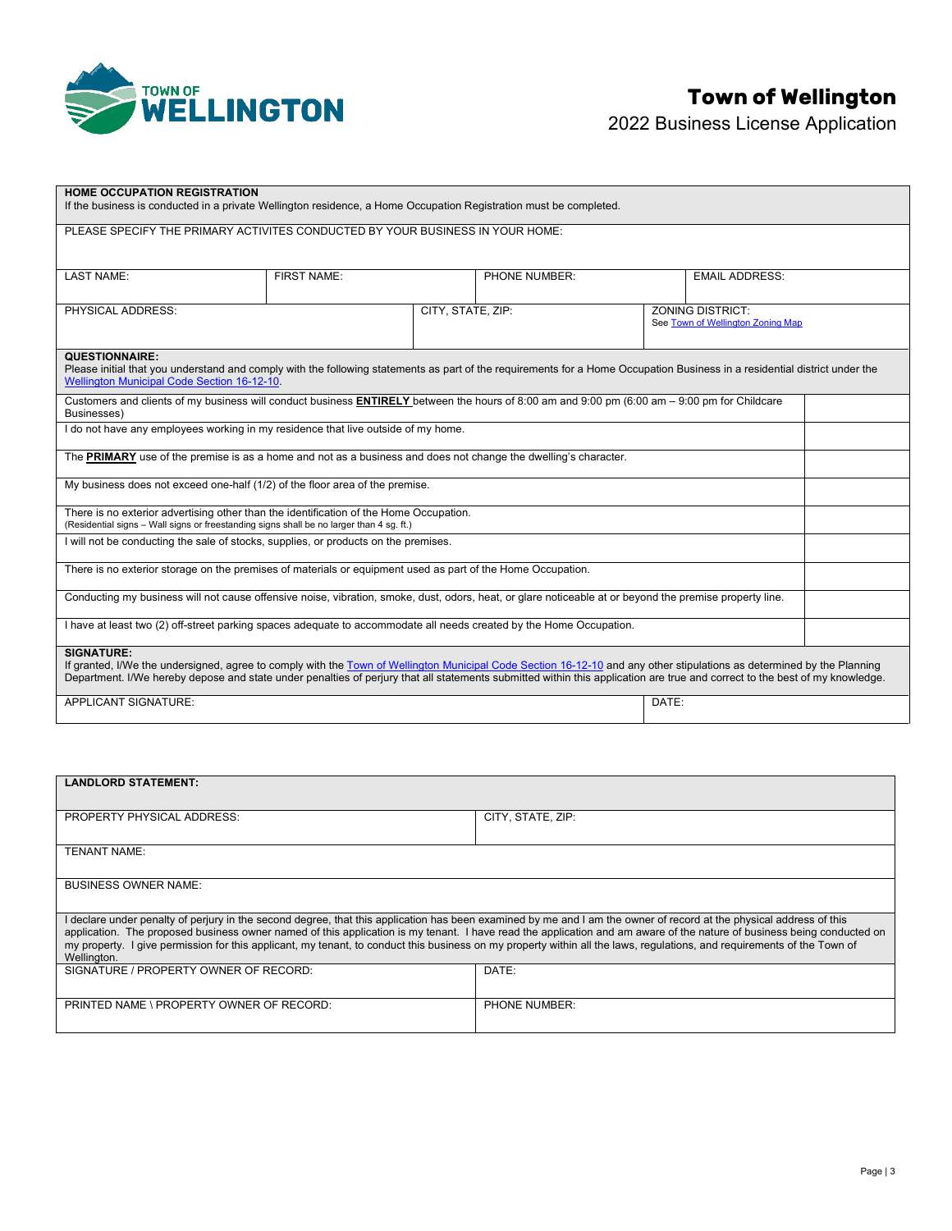

## **Town of Wellington**

2022 Business License Application

| <b>HOME OCCUPATION REGISTRATION</b><br>If the business is conducted in a private Wellington residence, a Home Occupation Registration must be completed.                                                                                                                                                                                                                   |             |                   |               |  |                                   |  |
|----------------------------------------------------------------------------------------------------------------------------------------------------------------------------------------------------------------------------------------------------------------------------------------------------------------------------------------------------------------------------|-------------|-------------------|---------------|--|-----------------------------------|--|
| PLEASE SPECIFY THE PRIMARY ACTIVITES CONDUCTED BY YOUR BUSINESS IN YOUR HOME:                                                                                                                                                                                                                                                                                              |             |                   |               |  |                                   |  |
|                                                                                                                                                                                                                                                                                                                                                                            |             |                   |               |  |                                   |  |
| <b>LAST NAME:</b>                                                                                                                                                                                                                                                                                                                                                          | FIRST NAME: |                   | PHONE NUMBER: |  | <b>EMAIL ADDRESS:</b>             |  |
| PHYSICAL ADDRESS:                                                                                                                                                                                                                                                                                                                                                          |             | CITY, STATE, ZIP: |               |  | <b>ZONING DISTRICT:</b>           |  |
|                                                                                                                                                                                                                                                                                                                                                                            |             |                   |               |  | See Town of Wellington Zoning Map |  |
| <b>QUESTIONNAIRE:</b>                                                                                                                                                                                                                                                                                                                                                      |             |                   |               |  |                                   |  |
| Please initial that you understand and comply with the following statements as part of the requirements for a Home Occupation Business in a residential district under the<br><b>Wellington Municipal Code Section 16-12-10.</b>                                                                                                                                           |             |                   |               |  |                                   |  |
| Customers and clients of my business will conduct business ENTIRELY between the hours of 8:00 am and 9:00 pm (6:00 am $-$ 9:00 pm for Childcare<br>Businesses)                                                                                                                                                                                                             |             |                   |               |  |                                   |  |
| I do not have any employees working in my residence that live outside of my home.                                                                                                                                                                                                                                                                                          |             |                   |               |  |                                   |  |
| The PRIMARY use of the premise is as a home and not as a business and does not change the dwelling's character.                                                                                                                                                                                                                                                            |             |                   |               |  |                                   |  |
| My business does not exceed one-half (1/2) of the floor area of the premise.                                                                                                                                                                                                                                                                                               |             |                   |               |  |                                   |  |
| There is no exterior advertising other than the identification of the Home Occupation.<br>(Residential signs - Wall signs or freestanding signs shall be no larger than 4 sg. ft.)                                                                                                                                                                                         |             |                   |               |  |                                   |  |
| I will not be conducting the sale of stocks, supplies, or products on the premises.                                                                                                                                                                                                                                                                                        |             |                   |               |  |                                   |  |
| There is no exterior storage on the premises of materials or equipment used as part of the Home Occupation.                                                                                                                                                                                                                                                                |             |                   |               |  |                                   |  |
| Conducting my business will not cause offensive noise, vibration, smoke, dust, odors, heat, or glare noticeable at or beyond the premise property line.                                                                                                                                                                                                                    |             |                   |               |  |                                   |  |
| I have at least two (2) off-street parking spaces adequate to accommodate all needs created by the Home Occupation.                                                                                                                                                                                                                                                        |             |                   |               |  |                                   |  |
| <b>SIGNATURE:</b><br>If granted, I/We the undersigned, agree to comply with the Town of Wellington Municipal Code Section 16-12-10 and any other stipulations as determined by the Planning<br>Department. I/We hereby depose and state under penalties of perjury that all statements submitted within this application are true and correct to the best of my knowledge. |             |                   |               |  |                                   |  |
| <b>APPLICANT SIGNATURE:</b><br>DATE:                                                                                                                                                                                                                                                                                                                                       |             |                   |               |  |                                   |  |

| CITY, STATE, ZIP:                                                                                                                                                                                                                                                                                                                             |  |  |  |  |
|-----------------------------------------------------------------------------------------------------------------------------------------------------------------------------------------------------------------------------------------------------------------------------------------------------------------------------------------------|--|--|--|--|
|                                                                                                                                                                                                                                                                                                                                               |  |  |  |  |
|                                                                                                                                                                                                                                                                                                                                               |  |  |  |  |
|                                                                                                                                                                                                                                                                                                                                               |  |  |  |  |
|                                                                                                                                                                                                                                                                                                                                               |  |  |  |  |
|                                                                                                                                                                                                                                                                                                                                               |  |  |  |  |
| I declare under penalty of perjury in the second degree, that this application has been examined by me and I am the owner of record at the physical address of this<br>application. The proposed business owner named of this application is my tenant. I have read the application and am aware of the nature of business being conducted on |  |  |  |  |
| my property. I give permission for this applicant, my tenant, to conduct this business on my property within all the laws, regulations, and requirements of the Town of<br>Wellington.                                                                                                                                                        |  |  |  |  |
| DATE:                                                                                                                                                                                                                                                                                                                                         |  |  |  |  |
|                                                                                                                                                                                                                                                                                                                                               |  |  |  |  |
| <b>PHONE NUMBER:</b>                                                                                                                                                                                                                                                                                                                          |  |  |  |  |
|                                                                                                                                                                                                                                                                                                                                               |  |  |  |  |
|                                                                                                                                                                                                                                                                                                                                               |  |  |  |  |